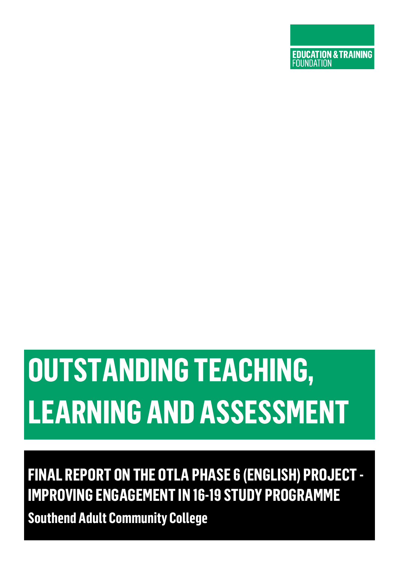# **EDUCATION & TRAINING**<br>FOUNDATION

# **OUTSTANDING TEACHING, LEARNING AND ASSESSMENT**

# **FINAL REPORT ON THE OTLA PHASE 6 (ENGLISH) PROJECT - IMPROVING ENGAGEMENT IN 16-19 STUDY PROGRAMME Southend Adult Community College**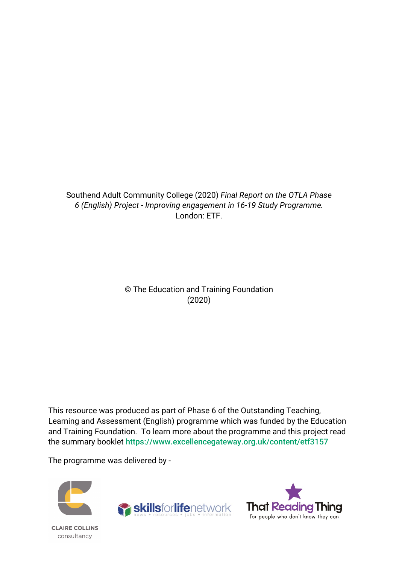#### Southend Adult Community College (2020) *Final Report on the OTLA Phase 6 (English) Project - Improving engagement in 16-19 Study Programme.* London: ETF.

© The Education and Training Foundation (2020)

This resource was produced as part of Phase 6 of the Outstanding Teaching, Learning and Assessment (English) programme which was funded by the Education and Training Foundation. To learn more about the programme and this project read the summary booklet <https://www.excellencegateway.org.uk/content/etf3157>

The programme was delivered by -





**CLAIRE COLLINS** consultancy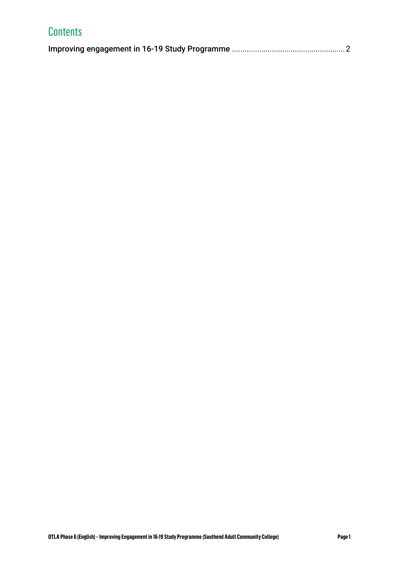| <b>Contents</b> |  |
|-----------------|--|
|                 |  |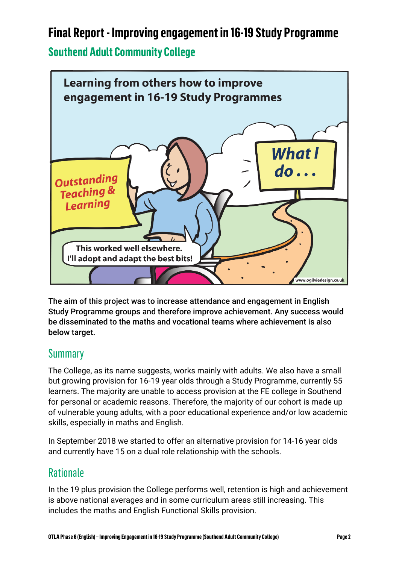# <span id="page-3-0"></span>**Final Report - Improving engagement in 16-19 Study Programme**

#### **Southend Adult Community College**



The aim of this project was to increase attendance and engagement in English Study Programme groups and therefore improve achievement. Any success would be disseminated to the maths and vocational teams where achievement is also below target.

### **Summary**

The College, as its name suggests, works mainly with adults. We also have a small but growing provision for 16-19 year olds through a Study Programme, currently 55 learners. The majority are unable to access provision at the FE college in Southend for personal or academic reasons. Therefore, the majority of our cohort is made up of vulnerable young adults, with a poor educational experience and/or low academic skills, especially in maths and English.

In September 2018 we started to offer an alternative provision for 14-16 year olds and currently have 15 on a dual role relationship with the schools.

#### **Rationale**

In the 19 plus provision the College performs well, retention is high and achievement is above national averages and in some curriculum areas still increasing. This includes the maths and English Functional Skills provision.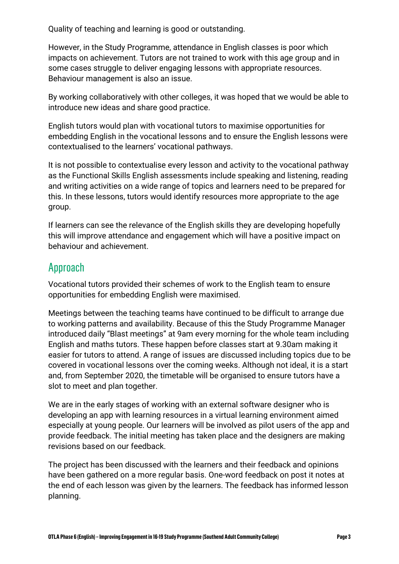Quality of teaching and learning is good or outstanding.

However, in the Study Programme, attendance in English classes is poor which impacts on achievement. Tutors are not trained to work with this age group and in some cases struggle to deliver engaging lessons with appropriate resources. Behaviour management is also an issue.

By working collaboratively with other colleges, it was hoped that we would be able to introduce new ideas and share good practice.

English tutors would plan with vocational tutors to maximise opportunities for embedding English in the vocational lessons and to ensure the English lessons were contextualised to the learners' vocational pathways.

It is not possible to contextualise every lesson and activity to the vocational pathway as the Functional Skills English assessments include speaking and listening, reading and writing activities on a wide range of topics and learners need to be prepared for this. In these lessons, tutors would identify resources more appropriate to the age group.

If learners can see the relevance of the English skills they are developing hopefully this will improve attendance and engagement which will have a positive impact on behaviour and achievement.

#### Approach

Vocational tutors provided their schemes of work to the English team to ensure opportunities for embedding English were maximised.

Meetings between the teaching teams have continued to be difficult to arrange due to working patterns and availability. Because of this the Study Programme Manager introduced daily "Blast meetings" at 9am every morning for the whole team including English and maths tutors. These happen before classes start at 9.30am making it easier for tutors to attend. A range of issues are discussed including topics due to be covered in vocational lessons over the coming weeks. Although not ideal, it is a start and, from September 2020, the timetable will be organised to ensure tutors have a slot to meet and plan together.

We are in the early stages of working with an external software designer who is developing an app with learning resources in a virtual learning environment aimed especially at young people. Our learners will be involved as pilot users of the app and provide feedback. The initial meeting has taken place and the designers are making revisions based on our feedback.

The project has been discussed with the learners and their feedback and opinions have been gathered on a more regular basis. One-word feedback on post it notes at the end of each lesson was given by the learners. The feedback has informed lesson planning.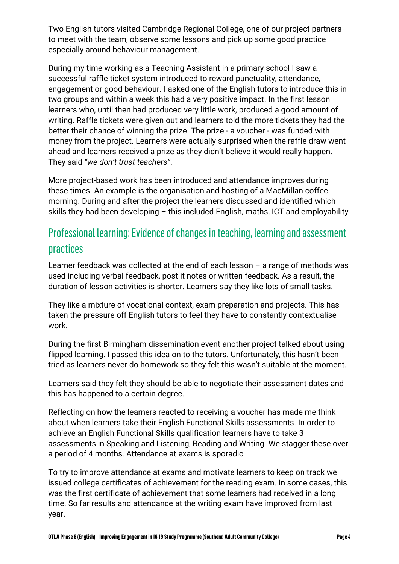Two English tutors visited Cambridge Regional College, one of our project partners to meet with the team, observe some lessons and pick up some good practice especially around behaviour management.

During my time working as a Teaching Assistant in a primary school I saw a successful raffle ticket system introduced to reward punctuality, attendance, engagement or good behaviour. I asked one of the English tutors to introduce this in two groups and within a week this had a very positive impact. In the first lesson learners who, until then had produced very little work, produced a good amount of writing. Raffle tickets were given out and learners told the more tickets they had the better their chance of winning the prize. The prize - a voucher - was funded with money from the project. Learners were actually surprised when the raffle draw went ahead and learners received a prize as they didn't believe it would really happen. They said *"we don't trust teachers"*.

More project-based work has been introduced and attendance improves during these times. An example is the organisation and hosting of a MacMillan coffee morning. During and after the project the learners discussed and identified which skills they had been developing – this included English, maths, ICT and employability

## Professional learning: Evidence of changes in teaching, learning and assessment practices

Learner feedback was collected at the end of each lesson – a range of methods was used including verbal feedback, post it notes or written feedback. As a result, the duration of lesson activities is shorter. Learners say they like lots of small tasks.

They like a mixture of vocational context, exam preparation and projects. This has taken the pressure off English tutors to feel they have to constantly contextualise work.

During the first Birmingham dissemination event another project talked about using flipped learning. I passed this idea on to the tutors. Unfortunately, this hasn't been tried as learners never do homework so they felt this wasn't suitable at the moment.

Learners said they felt they should be able to negotiate their assessment dates and this has happened to a certain degree.

Reflecting on how the learners reacted to receiving a voucher has made me think about when learners take their English Functional Skills assessments. In order to achieve an English Functional Skills qualification learners have to take 3 assessments in Speaking and Listening, Reading and Writing. We stagger these over a period of 4 months. Attendance at exams is sporadic.

To try to improve attendance at exams and motivate learners to keep on track we issued college certificates of achievement for the reading exam. In some cases, this was the first certificate of achievement that some learners had received in a long time. So far results and attendance at the writing exam have improved from last year.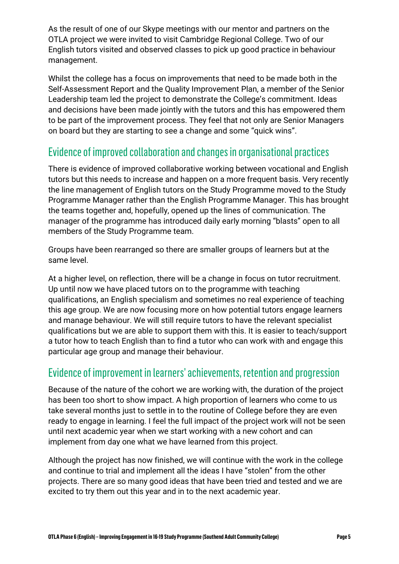As the result of one of our Skype meetings with our mentor and partners on the OTLA project we were invited to visit Cambridge Regional College. Two of our English tutors visited and observed classes to pick up good practice in behaviour management.

Whilst the college has a focus on improvements that need to be made both in the Self-Assessment Report and the Quality Improvement Plan, a member of the Senior Leadership team led the project to demonstrate the College's commitment. Ideas and decisions have been made jointly with the tutors and this has empowered them to be part of the improvement process. They feel that not only are Senior Managers on board but they are starting to see a change and some "quick wins".

#### Evidence of improved collaboration and changes in organisational practices

There is evidence of improved collaborative working between vocational and English tutors but this needs to increase and happen on a more frequent basis. Very recently the line management of English tutors on the Study Programme moved to the Study Programme Manager rather than the English Programme Manager. This has brought the teams together and, hopefully, opened up the lines of communication. The manager of the programme has introduced daily early morning "blasts" open to all members of the Study Programme team.

Groups have been rearranged so there are smaller groups of learners but at the same level.

At a higher level, on reflection, there will be a change in focus on tutor recruitment. Up until now we have placed tutors on to the programme with teaching qualifications, an English specialism and sometimes no real experience of teaching this age group. We are now focusing more on how potential tutors engage learners and manage behaviour. We will still require tutors to have the relevant specialist qualifications but we are able to support them with this. It is easier to teach/support a tutor how to teach English than to find a tutor who can work with and engage this particular age group and manage their behaviour.

#### Evidence of improvement in learners' achievements, retention and progression

Because of the nature of the cohort we are working with, the duration of the project has been too short to show impact. A high proportion of learners who come to us take several months just to settle in to the routine of College before they are even ready to engage in learning. I feel the full impact of the project work will not be seen until next academic year when we start working with a new cohort and can implement from day one what we have learned from this project.

Although the project has now finished, we will continue with the work in the college and continue to trial and implement all the ideas I have "stolen" from the other projects. There are so many good ideas that have been tried and tested and we are excited to try them out this year and in to the next academic year.